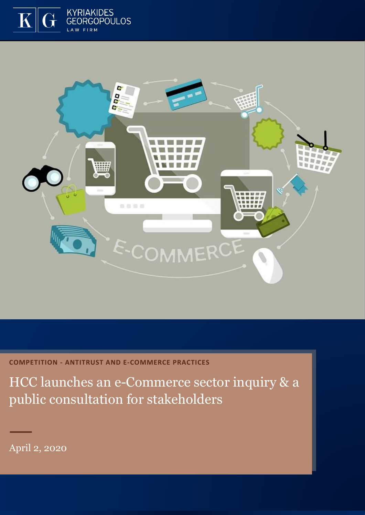



**COMPETITION - ANTITRUST AND E-COMMERCE PRACTICES**

HCC launches an e-Commerce sector inquiry & a public consultation for stakeholders

April 2, 2020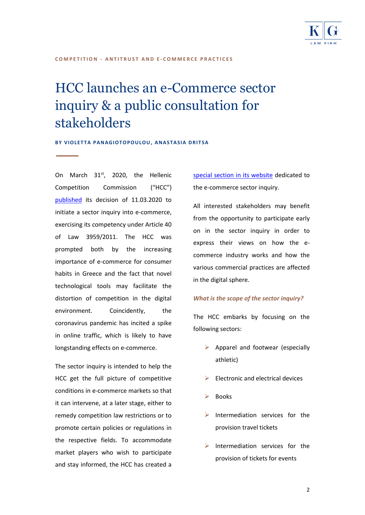

#### **C O M P E T I T I O N - A N T I T R U S T A N D E - C O M M E R C E P R A C T I C E S**

# HCC launches an e-Commerce sector inquiry & a public consultation for stakeholders

**BY VIOLETTA PANAGIOTOPOULOU, ANASTASIA DRITSA** 

On March  $31<sup>st</sup>$ , 2020, the Hellenic Competition Commission ("HCC") [published](https://www.epant.gr/en/enimerosi/news/item/860-launch-of-public-consultation.html) its decision of 11.03.2020 to initiate a sector inquiry into e-commerce, exercising its competency under Article 40 of Law 3959/2011. The HCC was prompted both by the increasing importance of e-commerce for consumer habits in Greece and the fact that novel technological tools may facilitate the distortion of competition in the digital environment. Coincidently, the coronavirus pandemic has incited a spike in online traffic, which is likely to have longstanding effects on e-commerce.

The sector inquiry is intended to help the HCC get the full picture of competitive conditions in e-commerce markets so that it can intervene, at a later stage, either to remedy competition law restrictions or to promote certain policies or regulations in the respective fields. To accommodate market players who wish to participate and stay informed, the HCC has created a

[special section in its website](https://www.epant.gr/enimerosi/kladiki-erevna-e-commerce.html) dedicated to the e-commerce sector inquiry.

All interested stakeholders may benefit from the opportunity to participate early on in the sector inquiry in order to express their views on how the ecommerce industry works and how the various commercial practices are affected in the digital sphere.

### *What is the scope of the sector inquiry?*

The HCC embarks by focusing on the following sectors:

- $\triangleright$  Apparel and footwear (especially athletic)
- ➢ Electronic and electrical devices
- **Books**
- $\triangleright$  Intermediation services for the provision travel tickets
- $\triangleright$  Intermediation services for the provision of tickets for events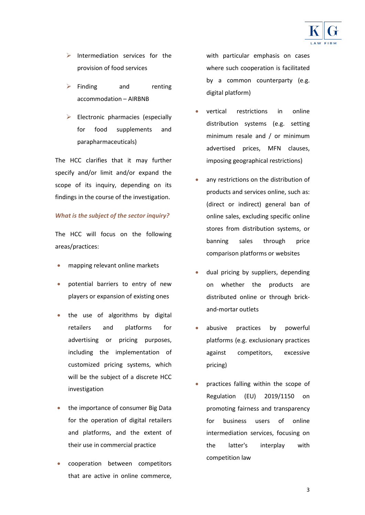

- $\triangleright$  Intermediation services for the provision of food services
- ➢ Finding and renting accommodation – AIRBNB
- $\triangleright$  Electronic pharmacies (especially for food supplements and parapharmaceuticals)

The HCC clarifies that it may further specify and/or limit and/or expand the scope of its inquiry, depending on its findings in the course of the investigation.

### *What is the subject of the sector inquiry?*

The HCC will focus on the following areas/practices:

- mapping relevant online markets
- potential barriers to entry of new players or expansion of existing ones
- the use of algorithms by digital retailers and platforms for advertising or pricing purposes, including the implementation of customized pricing systems, which will be the subject of a discrete HCC investigation
- the importance of consumer Big Data for the operation of digital retailers and platforms, and the extent of their use in commercial practice
- cooperation between competitors that are active in online commerce,

with particular emphasis on cases where such cooperation is facilitated by a common counterparty (e.g. digital platform)

- vertical restrictions in online distribution systems (e.g. setting minimum resale and / or minimum advertised prices, MFN clauses, imposing geographical restrictions)
- any restrictions on the distribution of products and services online, such as: (direct or indirect) general ban of online sales, excluding specific online stores from distribution systems, or banning sales through price comparison platforms or websites
- dual pricing by suppliers, depending on whether the products are distributed online or through brickand-mortar outlets
- abusive practices by powerful platforms (e.g. exclusionary practices against competitors, excessive pricing)
- practices falling within the scope of Regulation (EU) 2019/1150 on promoting fairness and transparency for business users of online intermediation services, focusing on the latter's interplay with competition law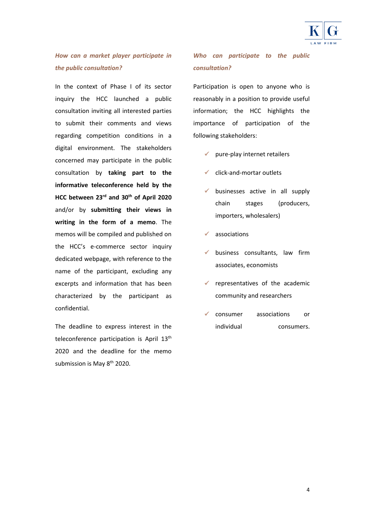

### *How can a market player participate in the public consultation?*

In the context of Phase I of its sector inquiry the HCC launched a public consultation inviting all interested parties to submit their comments and views regarding competition conditions in a digital environment. The stakeholders concerned may participate in the public consultation by **taking part to the informative teleconference held by the HCC between 23rd and 30th of April 2020** and/or by **submitting their views in writing in the form of a memo**. The memos will be compiled and published on the HCC's e-commerce sector inquiry dedicated webpage, with reference to the name of the participant, excluding any excerpts and information that has been characterized by the participant as confidential.

The deadline to express interest in the teleconference participation is April 13<sup>th</sup> 2020 and the deadline for the memo submission is May 8<sup>th</sup> 2020.

### *Who can participate to the public consultation?*

Participation is open to anyone who is reasonably in a position to provide useful information; the HCC highlights the importance of participation of the following stakeholders:

- $\checkmark$  pure-play internet retailers
- $\checkmark$  click-and-mortar outlets
- businesses active in all supply chain stages (producers, importers, wholesalers)
- $\checkmark$  associations
- business consultants, law firm associates, economists
- $\checkmark$  representatives of the academic community and researchers
- ✓ consumer associations or individual consumers.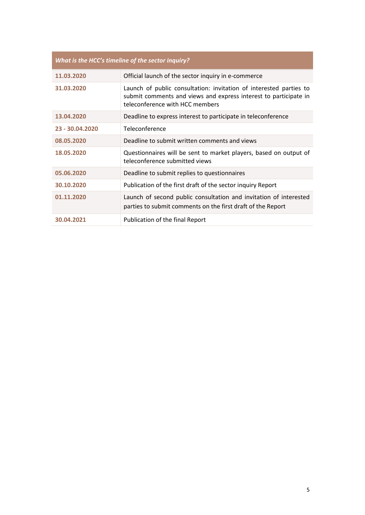| What is the HCC's timeline of the sector inquiry? |                                                                                                                                                                           |
|---------------------------------------------------|---------------------------------------------------------------------------------------------------------------------------------------------------------------------------|
| 11.03.2020                                        | Official launch of the sector inquiry in e-commerce                                                                                                                       |
| 31.03.2020                                        | Launch of public consultation: invitation of interested parties to<br>submit comments and views and express interest to participate in<br>teleconference with HCC members |
| 13.04.2020                                        | Deadline to express interest to participate in teleconference                                                                                                             |
| 23 - 30.04.2020                                   | Teleconference                                                                                                                                                            |
| 08.05.2020                                        | Deadline to submit written comments and views                                                                                                                             |
| 18.05.2020                                        | Questionnaires will be sent to market players, based on output of<br>teleconference submitted views                                                                       |
| 05.06.2020                                        | Deadline to submit replies to questionnaires                                                                                                                              |
| 30.10.2020                                        | Publication of the first draft of the sector inquiry Report                                                                                                               |
| 01.11.2020                                        | Launch of second public consultation and invitation of interested<br>parties to submit comments on the first draft of the Report                                          |
| 30.04.2021                                        | Publication of the final Report                                                                                                                                           |